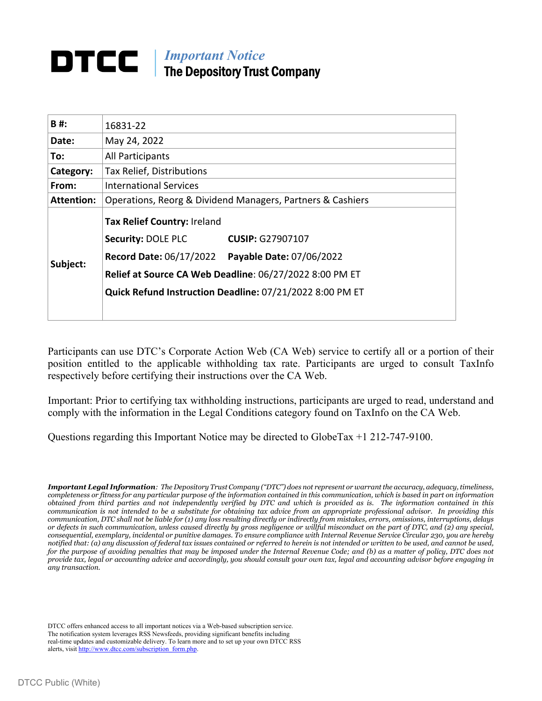## DTCC | *Important Notice*  The Depository Trust Company

| B#:               | 16831-22                                                                                                                                                                                                                                                        |  |  |  |  |
|-------------------|-----------------------------------------------------------------------------------------------------------------------------------------------------------------------------------------------------------------------------------------------------------------|--|--|--|--|
| Date:             | May 24, 2022                                                                                                                                                                                                                                                    |  |  |  |  |
| To:               | All Participants                                                                                                                                                                                                                                                |  |  |  |  |
| Category:         | Tax Relief, Distributions                                                                                                                                                                                                                                       |  |  |  |  |
| From:             | <b>International Services</b>                                                                                                                                                                                                                                   |  |  |  |  |
| <b>Attention:</b> | Operations, Reorg & Dividend Managers, Partners & Cashiers                                                                                                                                                                                                      |  |  |  |  |
| Subject:          | Tax Relief Country: Ireland<br><b>Security: DOLE PLC</b><br><b>CUSIP: G27907107</b><br>Record Date: 06/17/2022  Payable Date: 07/06/2022<br>Relief at Source CA Web Deadline: 06/27/2022 8:00 PM ET<br>Quick Refund Instruction Deadline: 07/21/2022 8:00 PM ET |  |  |  |  |

Participants can use DTC's Corporate Action Web (CA Web) service to certify all or a portion of their position entitled to the applicable withholding tax rate. Participants are urged to consult TaxInfo respectively before certifying their instructions over the CA Web.

Important: Prior to certifying tax withholding instructions, participants are urged to read, understand and comply with the information in the Legal Conditions category found on TaxInfo on the CA Web.

Questions regarding this Important Notice may be directed to GlobeTax +1 212-747-9100.

*Important Legal Information: The Depository Trust Company ("DTC") does not represent or warrant the accuracy, adequacy, timeliness, completeness or fitness for any particular purpose of the information contained in this communication, which is based in part on information obtained from third parties and not independently verified by DTC and which is provided as is. The information contained in this communication is not intended to be a substitute for obtaining tax advice from an appropriate professional advisor. In providing this communication, DTC shall not be liable for (1) any loss resulting directly or indirectly from mistakes, errors, omissions, interruptions, delays or defects in such communication, unless caused directly by gross negligence or willful misconduct on the part of DTC, and (2) any special, consequential, exemplary, incidental or punitive damages. To ensure compliance with Internal Revenue Service Circular 230, you are hereby notified that: (a) any discussion of federal tax issues contained or referred to herein is not intended or written to be used, and cannot be used, for the purpose of avoiding penalties that may be imposed under the Internal Revenue Code; and (b) as a matter of policy, DTC does not provide tax, legal or accounting advice and accordingly, you should consult your own tax, legal and accounting advisor before engaging in any transaction.*

DTCC offers enhanced access to all important notices via a Web-based subscription service. The notification system leverages RSS Newsfeeds, providing significant benefits including real-time updates and customizable delivery. To learn more and to set up your own DTCC RSS alerts, visit http://www.dtcc.com/subscription\_form.php.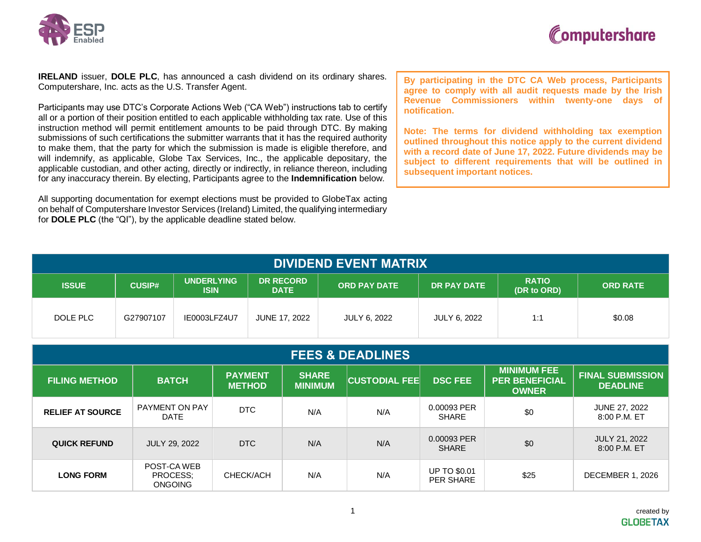



**IRELAND** issuer, **DOLE PLC**, has announced a cash dividend on its ordinary shares. Computershare, Inc. acts as the U.S. Transfer Agent.

Participants may use DTC's Corporate Actions Web ("CA Web") instructions tab to certify all or a portion of their position entitled to each applicable withholding tax rate. Use of this instruction method will permit entitlement amounts to be paid through DTC. By making submissions of such certifications the submitter warrants that it has the required authority to make them, that the party for which the submission is made is eligible therefore, and will indemnify, as applicable, Globe Tax Services, Inc., the applicable depositary, the applicable custodian, and other acting, directly or indirectly, in reliance thereon, including for any inaccuracy therein. By electing, Participants agree to the **Indemnification** below.

All supporting documentation for exempt elections must be provided to GlobeTax acting on behalf of Computershare Investor Services (Ireland) Limited, the qualifying intermediary for **DOLE PLC** (the "QI"), by the applicable deadline stated below.

**By participating in the DTC CA Web process, Participants agree to comply with all audit requests made by the Irish Revenue Commissioners within twenty-one days of notification.**

**Note: The terms for dividend withholding tax exemption outlined throughout this notice apply to the current dividend with a record date of June 17, 2022. Future dividends may be subject to different requirements that will be outlined in subsequent important notices.**

| <b>DIVIDEND EVENT MATRIX</b> |               |                                  |                                 |                     |              |                             |                 |
|------------------------------|---------------|----------------------------------|---------------------------------|---------------------|--------------|-----------------------------|-----------------|
| <b>ISSUE</b>                 | <b>CUSIP#</b> | <b>UNDERLYING</b><br><b>ISIN</b> | <b>DR RECORD</b><br><b>DATE</b> | <b>ORD PAY DATE</b> | DR PAY DATE  | <b>RATIO</b><br>(DR to ORD) | <b>ORD RATE</b> |
| DOLE PLC                     | G27907107     | IE0003LFZ4U7                     | JUNE 17, 2022                   | <b>JULY 6, 2022</b> | JULY 6, 2022 | 1:1                         | \$0.08          |

| <b>FEES &amp; DEADLINES</b> |                                           |                                 |                                |                      |                                  |                                                             |                                            |
|-----------------------------|-------------------------------------------|---------------------------------|--------------------------------|----------------------|----------------------------------|-------------------------------------------------------------|--------------------------------------------|
| <b>FILING METHOD</b>        | <b>BATCH</b>                              | <b>PAYMENT</b><br><b>METHOD</b> | <b>SHARE</b><br><b>MINIMUM</b> | <b>CUSTODIAL FEE</b> | <b>DSC FEE</b>                   | <b>MINIMUM FEE</b><br><b>PER BENEFICIAL</b><br><b>OWNER</b> | <b>FINAL SUBMISSION</b><br><b>DEADLINE</b> |
| <b>RELIEF AT SOURCE</b>     | PAYMENT ON PAY<br><b>DATE</b>             | DTC                             | N/A                            | N/A                  | 0.00093 PER<br><b>SHARE</b>      | \$0                                                         | <b>JUNE 27, 2022</b><br>8:00 P.M. ET       |
| <b>QUICK REFUND</b>         | <b>JULY 29, 2022</b>                      | DTC                             | N/A                            | N/A                  | 0.00093 PER<br><b>SHARE</b>      | \$0                                                         | <b>JULY 21, 2022</b><br>8:00 P.M. ET       |
| <b>LONG FORM</b>            | POST-CA WEB<br>PROCESS;<br><b>ONGOING</b> | CHECK/ACH                       | N/A                            | N/A                  | <b>UP TO \$0.01</b><br>PER SHARE | \$25                                                        | DECEMBER 1, 2026                           |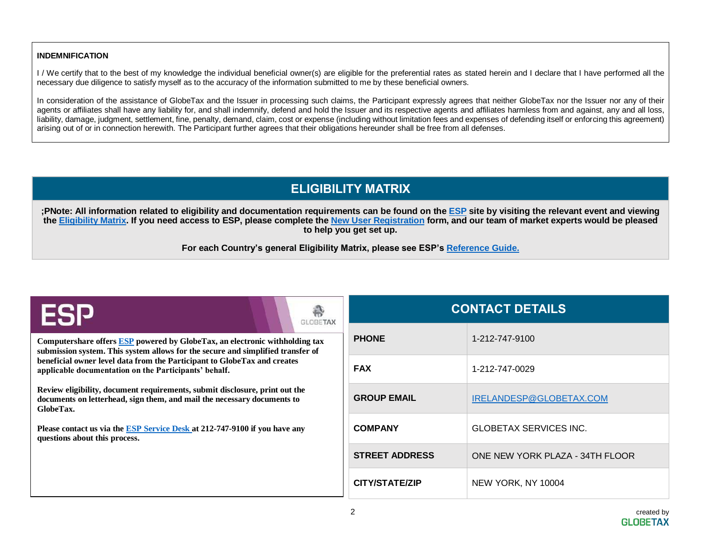## **INDEMNIFICATION**

I / We certify that to the best of my knowledge the individual beneficial owner(s) are eligible for the preferential rates as stated herein and I declare that I have performed all the necessary due diligence to satisfy myself as to the accuracy of the information submitted to me by these beneficial owners.

In consideration of the assistance of GlobeTax and the Issuer in processing such claims, the Participant expressly agrees that neither GlobeTax nor the Issuer nor any of their agents or affiliates shall have any liability for, and shall indemnify, defend and hold the Issuer and its respective agents and affiliates harmless from and against, any and all loss, liability, damage, judgment, settlement, fine, penalty, demand, claim, cost or expense (including without limitation fees and expenses of defending itself or enforcing this agreement) arising out of or in connection herewith. The Participant further agrees that their obligations hereunder shall be free from all defenses.

## **ELIGIBILITY MATRIX**

;PNote: All information related to eligibility and documentation requirements can be found on the **[ESP](https://esp.globetax.com/)** site by visiting the relevant event and viewing the [Eligibility Matrix.](https://esp.globetax.com/reports/events) If you need access to ESP, please complete the [New User Registration](https://esp.globetax.com/register) form, and our team of market experts would be pleased **to help you get set up.**

**For each Country's general Eligibility Matrix, please see ESP's [Reference Guide.](https://esp.globetax.com/reference-guide)**

| ESP<br><b>GLOBETAX</b>                                                                                                                                              | <b>CONTACT DETAILS</b> |                                 |  |
|---------------------------------------------------------------------------------------------------------------------------------------------------------------------|------------------------|---------------------------------|--|
| Computershare offers ESP powered by GlobeTax, an electronic withholding tax<br>submission system. This system allows for the secure and simplified transfer of      | <b>PHONE</b>           | 1-212-747-9100                  |  |
| beneficial owner level data from the Participant to GlobeTax and creates<br>applicable documentation on the Participants' behalf.                                   | <b>FAX</b>             | 1-212-747-0029                  |  |
| Review eligibility, document requirements, submit disclosure, print out the<br>documents on letterhead, sign them, and mail the necessary documents to<br>GlobeTax. | <b>GROUP EMAIL</b>     | IRELANDESP@GLOBETAX.COM         |  |
| Please contact us via the ESP Service Desk at 212-747-9100 if you have any<br>questions about this process.                                                         | <b>COMPANY</b>         | <b>GLOBETAX SERVICES INC.</b>   |  |
|                                                                                                                                                                     | <b>STREET ADDRESS</b>  | ONE NEW YORK PLAZA - 34TH FLOOR |  |
|                                                                                                                                                                     | CITY/STATE/ZIP         | NEW YORK, NY 10004              |  |